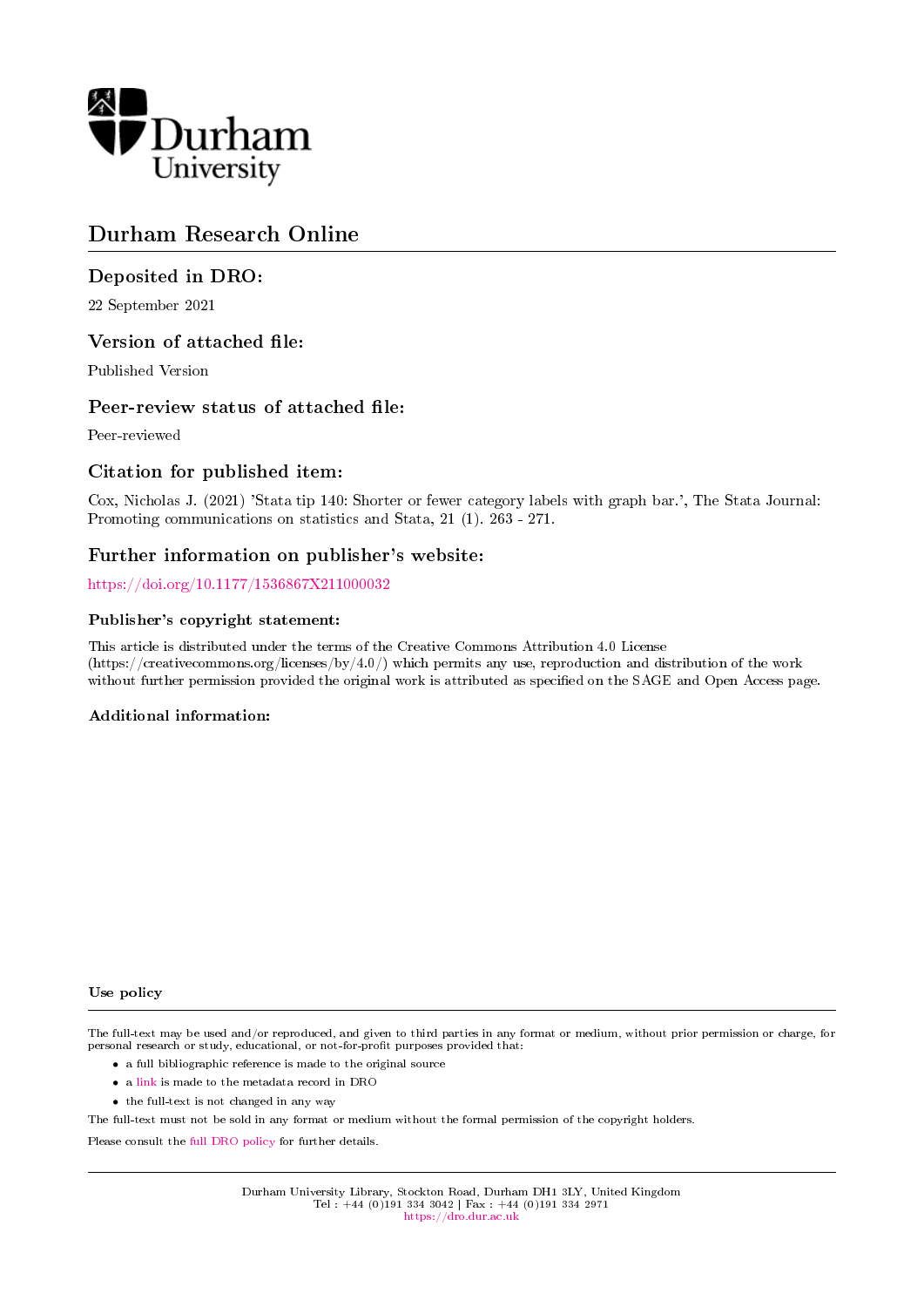

# Durham Research Online

### Deposited in DRO:

22 September 2021

### Version of attached file:

Published Version

### Peer-review status of attached file:

Peer-reviewed

### Citation for published item:

Cox, Nicholas J. (2021) 'Stata tip 140: Shorter or fewer category labels with graph bar.', The Stata Journal: Promoting communications on statistics and Stata, 21 (1). 263 - 271.

### Further information on publisher's website:

<https://doi.org/10.1177/1536867X211000032>

### Publisher's copyright statement:

This article is distributed under the terms of the Creative Commons Attribution 4.0 License (https://creativecommons.org/licenses/by/4.0/) which permits any use, reproduction and distribution of the work without further permission provided the original work is attributed as specified on the SAGE and Open Access page.

### Additional information:

#### Use policy

The full-text may be used and/or reproduced, and given to third parties in any format or medium, without prior permission or charge, for personal research or study, educational, or not-for-profit purposes provided that:

- a full bibliographic reference is made to the original source
- a [link](http://dro.dur.ac.uk/33941/) is made to the metadata record in DRO
- the full-text is not changed in any way

The full-text must not be sold in any format or medium without the formal permission of the copyright holders.

Please consult the [full DRO policy](https://dro.dur.ac.uk/policies/usepolicy.pdf) for further details.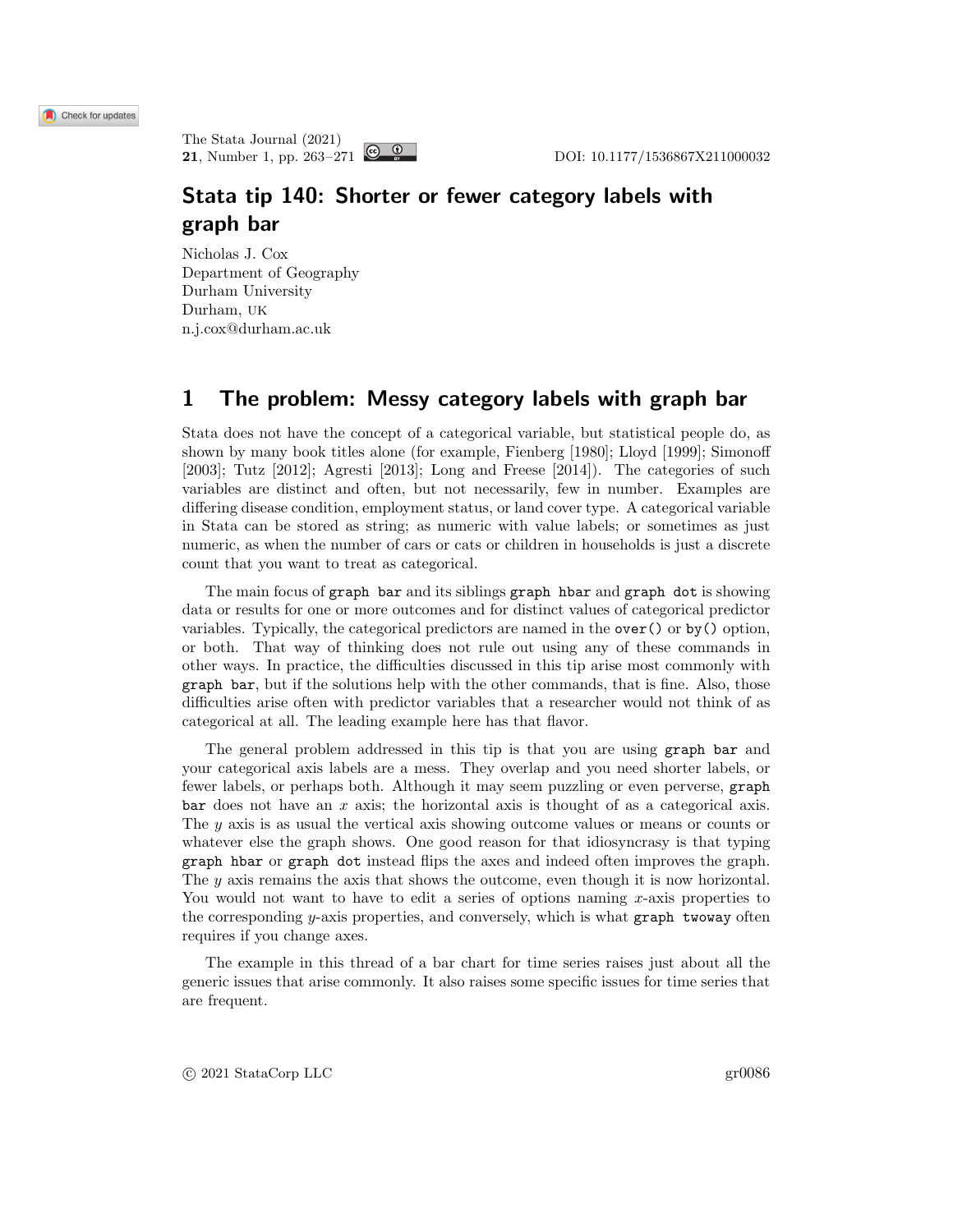# Stata tip 140: Shorter or fewer category labels with graph bar

Nicholas J. Cox Department of Geography Durham University Durham, UK n.j.cox@durham.ac.uk

## 1 The problem: Messy category labels with graph bar

Stata does not have the concept of a categorical variable, but statistical people do, as shown by many book titles alone (for example, [Fienberg \[1980\]](#page-9-0); [Lloyd \[1999\]](#page-9-1); [Simonoff](#page-9-2) [\[2003\]](#page-9-2); [Tutz \[2012\]](#page-9-3); [Agresti \[2013\]](#page-9-4); [Long and Freese \[2014\]](#page-9-5)). The categories of such variables are distinct and often, but not necessarily, few in number. Examples are differing disease condition, employment status, or land cover type. A categorical variable in Stata can be stored as string; as numeric with value labels; or sometimes as just numeric, as when the number of cars or cats or children in households is just a discrete count that you want to treat as categorical.

The main focus of graph bar and its siblings graph hbar and graph dot is showing data or results for one or more outcomes and for distinct values of categorical predictor variables. Typically, the categorical predictors are named in the over() or by() option, or both. That way of thinking does not rule out using any of these commands in other ways. In practice, the difficulties discussed in this tip arise most commonly with graph bar, but if the solutions help with the other commands, that is fine. Also, those difficulties arise often with predictor variables that a researcher would not think of as categorical at all. The leading example here has that flavor.

The general problem addressed in this tip is that you are using graph bar and your categorical axis labels are a mess. They overlap and you need shorter labels, or fewer labels, or perhaps both. Although it may seem puzzling or even perverse, graph  $bar$  does not have an x axis; the horizontal axis is thought of as a categorical axis. The y axis is as usual the vertical axis showing outcome values or means or counts or whatever else the graph shows. One good reason for that idiosyncrasy is that typing graph hbar or graph dot instead flips the axes and indeed often improves the graph. The y axis remains the axis that shows the outcome, even though it is now horizontal. You would not want to have to edit a series of options naming  $x$ -axis properties to the corresponding y-axis properties, and conversely, which is what graph twoway often requires if you change axes.

The example in this thread of a bar chart for time series raises just about all the generic issues that arise commonly. It also raises some specific issues for time series that are frequent.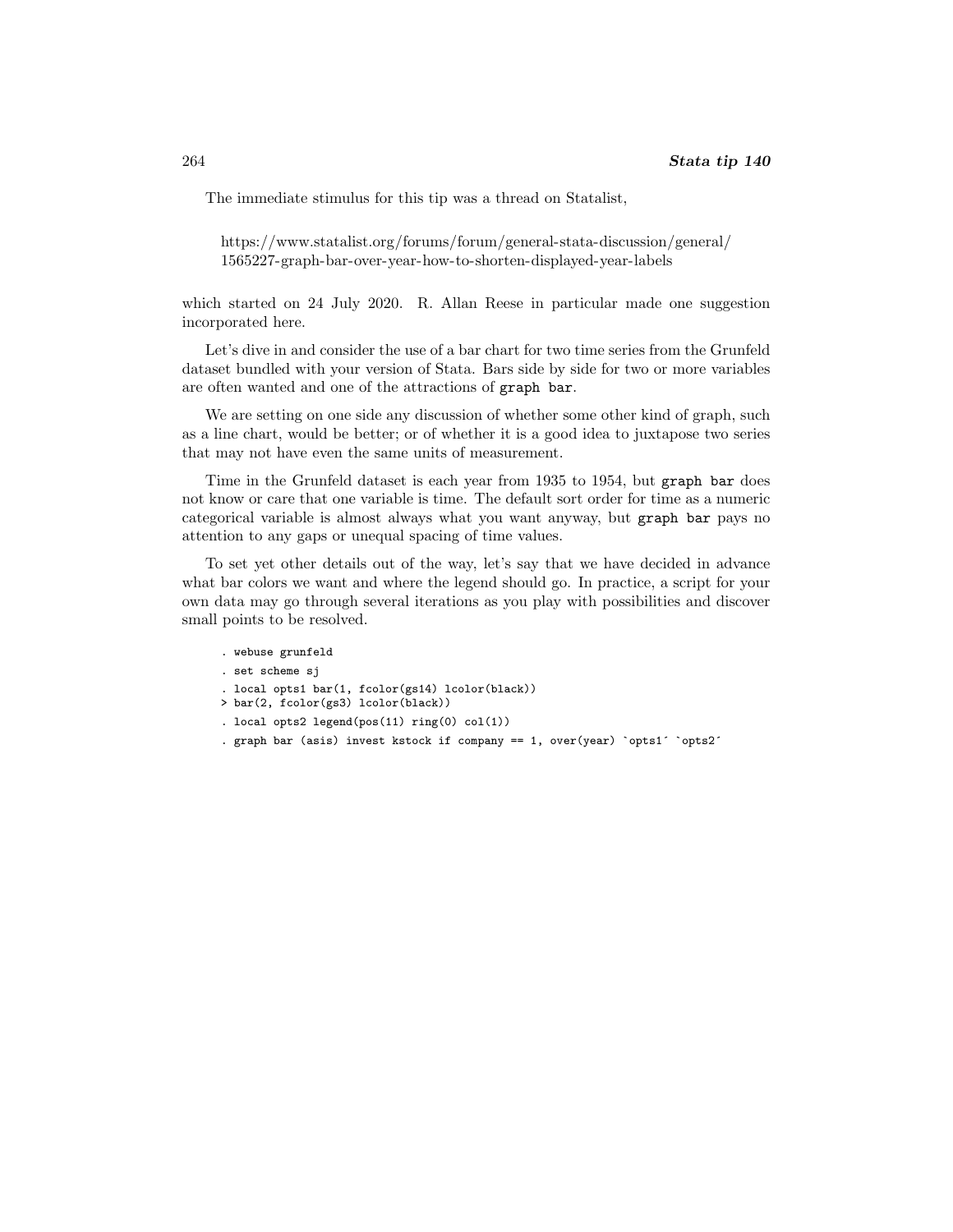The immediate stimulus for this tip was a thread on Statalist,

[https://www.statalist.org/forums/forum/general-stata-discussion/general/](https://www.statalist.org/forums/forum/general-stata-discussion/general/1565227-graph-bar-over-year-how-to-shorten-displayed-year-labels) [1565227-graph-bar-over-year-how-to-shorten-displayed-year-labels](https://www.statalist.org/forums/forum/general-stata-discussion/general/1565227-graph-bar-over-year-how-to-shorten-displayed-year-labels)

which started on 24 July 2020. R. Allan Reese in particular made one suggestion incorporated here.

Let's dive in and consider the use of a bar chart for two time series from the Grunfeld dataset bundled with your version of Stata. Bars side by side for two or more variables are often wanted and one of the attractions of graph bar.

We are setting on one side any discussion of whether some other kind of graph, such as a line chart, would be better; or of whether it is a good idea to juxtapose two series that may not have even the same units of measurement.

Time in the Grunfeld dataset is each year from 1935 to 1954, but graph bar does not know or care that one variable is time. The default sort order for time as a numeric categorical variable is almost always what you want anyway, but graph bar pays no attention to any gaps or unequal spacing of time values.

To set yet other details out of the way, let's say that we have decided in advance what bar colors we want and where the legend should go. In practice, a script for your own data may go through several iterations as you play with possibilities and discover small points to be resolved.

```
. webuse grunfeld
```

```
. set scheme sj
```
- . local opts1 bar(1, fcolor(gs14) lcolor(black))
- > bar(2, fcolor(gs3) lcolor(black))
- . local opts2 legend(pos(11) ring(0) col(1))
- . graph bar (asis) invest kstock if company == 1, over(year) `opts1´ `opts2´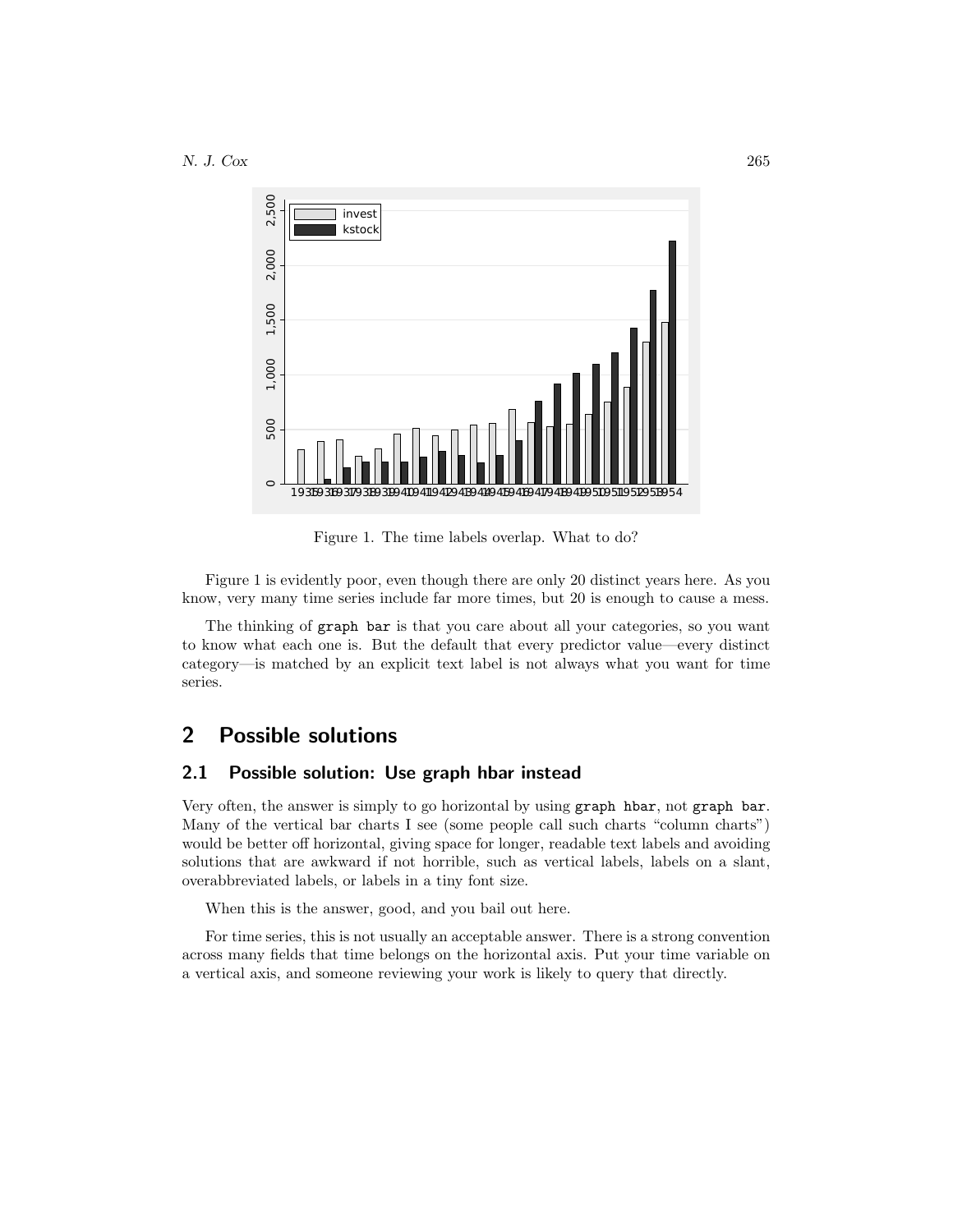

Figure 1. The time labels overlap. What to do?

Figure 1 is evidently poor, even though there are only 20 distinct years here. As you know, very many time series include far more times, but 20 is enough to cause a mess.

The thinking of graph bar is that you care about all your categories, so you want to know what each one is. But the default that every predictor value—every distinct category—is matched by an explicit text label is not always what you want for time series.

## 2 Possible solutions

### 2.1 Possible solution: Use graph hbar instead

Very often, the answer is simply to go horizontal by using graph hbar, not graph bar. Many of the vertical bar charts I see (some people call such charts "column charts") would be better off horizontal, giving space for longer, readable text labels and avoiding solutions that are awkward if not horrible, such as vertical labels, labels on a slant, overabbreviated labels, or labels in a tiny font size.

When this is the answer, good, and you bail out here.

For time series, this is not usually an acceptable answer. There is a strong convention across many fields that time belongs on the horizontal axis. Put your time variable on a vertical axis, and someone reviewing your work is likely to query that directly.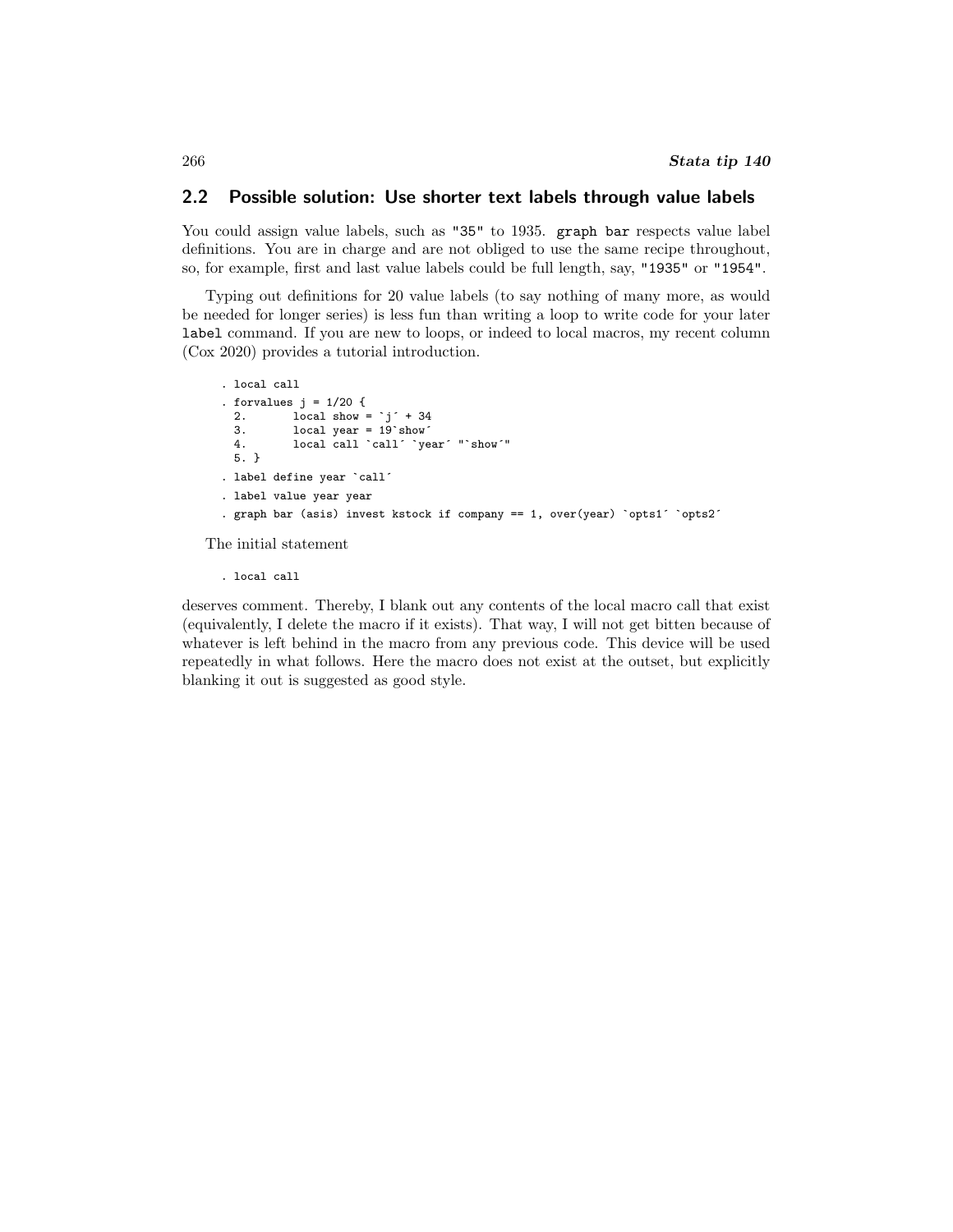### 2.2 Possible solution: Use shorter text labels through value labels

You could assign value labels, such as "35" to 1935. graph bar respects value label definitions. You are in charge and are not obliged to use the same recipe throughout, so, for example, first and last value labels could be full length, say, "1935" or "1954".

Typing out definitions for 20 value labels (to say nothing of many more, as would be needed for longer series) is less fun than writing a loop to write code for your later label command. If you are new to loops, or indeed to local macros, my recent column [\(Cox 2020\)](#page-9-6) provides a tutorial introduction.

```
. local call
. forvalues i = 1/20 {
  2. \qquad \qquad local show = j' + 34<br>3. \qquad \qquad local year = 19 show
  3. \qquad local year = 19^{\circ} show<sup>\leq</sup> 4. \qquad local call \qquadcirc call \qquadcirc ve
               local call `call´ `year´ "`show´"
  5. }
. label define year `call´
. label value year year
. graph bar (asis) invest kstock if company == 1, over(year) `opts1´ `opts2´
```
The initial statement

. local call

deserves comment. Thereby, I blank out any contents of the local macro call that exist (equivalently, I delete the macro if it exists). That way, I will not get bitten because of whatever is left behind in the macro from any previous code. This device will be used repeatedly in what follows. Here the macro does not exist at the outset, but explicitly blanking it out is suggested as good style.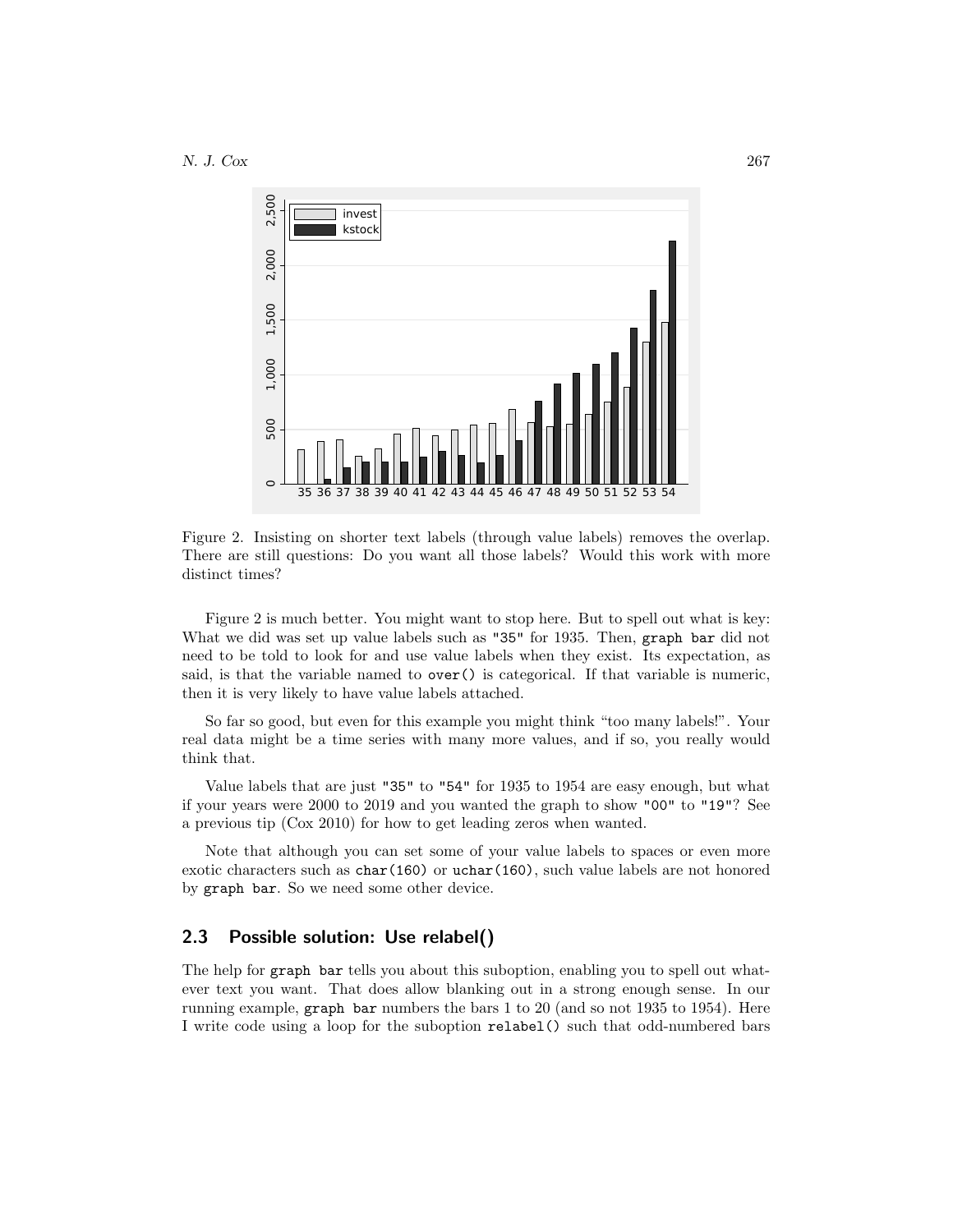

Figure 2. Insisting on shorter text labels (through value labels) removes the overlap. There are still questions: Do you want all those labels? Would this work with more distinct times?

Figure 2 is much better. You might want to stop here. But to spell out what is key: What we did was set up value labels such as "35" for 1935. Then, graph bar did not need to be told to look for and use value labels when they exist. Its expectation, as said, is that the variable named to  $\text{over}()$  is categorical. If that variable is numeric, then it is very likely to have value labels attached.

So far so good, but even for this example you might think "too many labels!". Your real data might be a time series with many more values, and if so, you really would think that.

Value labels that are just "35" to "54" for 1935 to 1954 are easy enough, but what if your years were 2000 to 2019 and you wanted the graph to show "00" to "19"? See a previous tip [\(Cox 2010\)](#page-9-7) for how to get leading zeros when wanted.

Note that although you can set some of your value labels to spaces or even more exotic characters such as char(160) or uchar(160), such value labels are not honored by graph bar. So we need some other device.

### 2.3 Possible solution: Use relabel()

The help for graph bar tells you about this suboption, enabling you to spell out whatever text you want. That does allow blanking out in a strong enough sense. In our running example, graph bar numbers the bars 1 to 20 (and so not 1935 to 1954). Here I write code using a loop for the suboption relabel() such that odd-numbered bars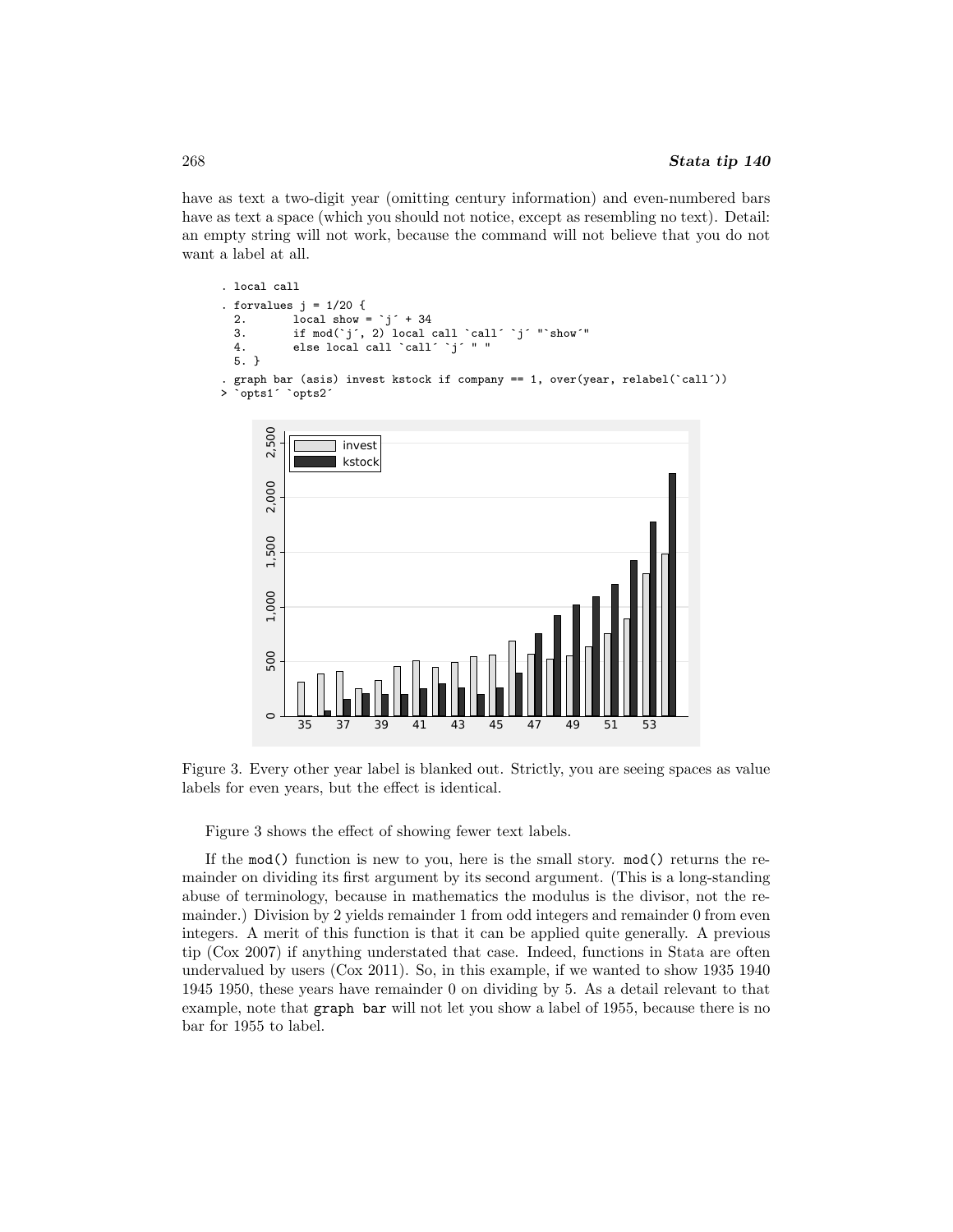have as text a two-digit year (omitting century information) and even-numbered bars have as text a space (which you should not notice, except as resembling no text). Detail: an empty string will not work, because the command will not believe that you do not want a label at all.

```
. local call
. forvalues j = 1/20 {
  2. local show = \dot{j} + 34
  3. if mod(`j´, 2) local call `call´ `j´ "`show´"
  4. else local call `call´ `j´ " "
 5. }
. graph bar (asis) invest kstock if company == 1, over(year, relabel(`call´))
> `opts1´ `opts2´
```


Figure 3. Every other year label is blanked out. Strictly, you are seeing spaces as value labels for even years, but the effect is identical.

Figure 3 shows the effect of showing fewer text labels.

If the mod() function is new to you, here is the small story. mod() returns the remainder on dividing its first argument by its second argument. (This is a long-standing abuse of terminology, because in mathematics the modulus is the divisor, not the remainder.) Division by 2 yields remainder 1 from odd integers and remainder 0 from even integers. A merit of this function is that it can be applied quite generally. A previous tip [\(Cox 2007\)](#page-9-8) if anything understated that case. Indeed, functions in Stata are often undervalued by users [\(Cox 2011\)](#page-9-9). So, in this example, if we wanted to show 1935 1940 1945 1950, these years have remainder 0 on dividing by 5. As a detail relevant to that example, note that graph bar will not let you show a label of 1955, because there is no bar for 1955 to label.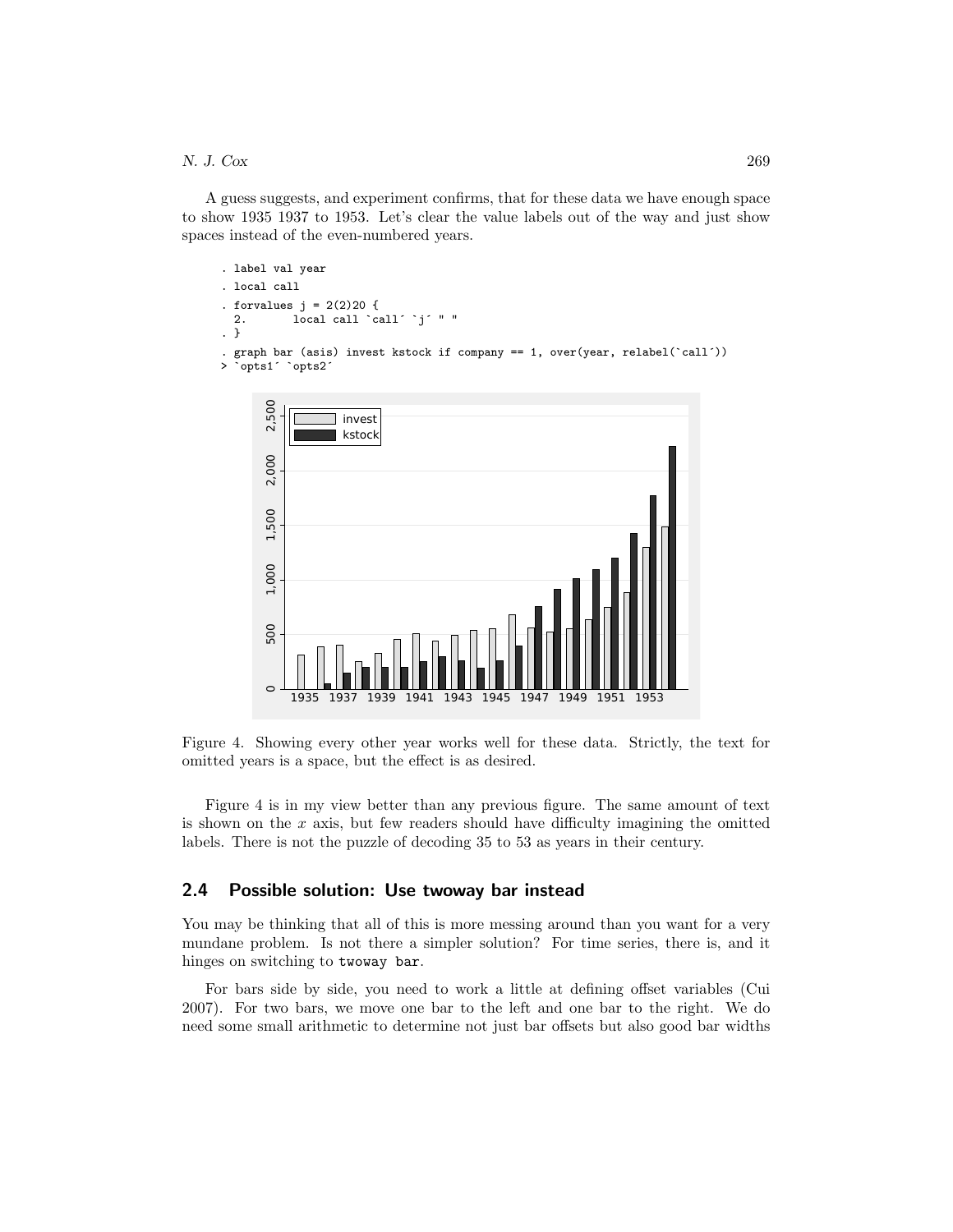A guess suggests, and experiment confirms, that for these data we have enough space to show 1935 1937 to 1953. Let's clear the value labels out of the way and just show spaces instead of the even-numbered years.

```
. label val year
. local call
. forvalues j = 2(2)20 {
  2. local call `call´ `j´ " "
. }
  . graph bar (asis) invest kstock if company == 1, over(year, relabel(`call´))
> `opts1^ `opts2^
```


Figure 4. Showing every other year works well for these data. Strictly, the text for omitted years is a space, but the effect is as desired.

Figure 4 is in my view better than any previous figure. The same amount of text is shown on the  $x$  axis, but few readers should have difficulty imagining the omitted labels. There is not the puzzle of decoding 35 to 53 as years in their century.

#### 2.4 Possible solution: Use twoway bar instead

You may be thinking that all of this is more messing around than you want for a very mundane problem. Is not there a simpler solution? For time series, there is, and it hinges on switching to twoway bar.

For bars side by side, you need to work a little at defining offset variables [\(Cui](#page-9-10) [2007\)](#page-9-10). For two bars, we move one bar to the left and one bar to the right. We do need some small arithmetic to determine not just bar offsets but also good bar widths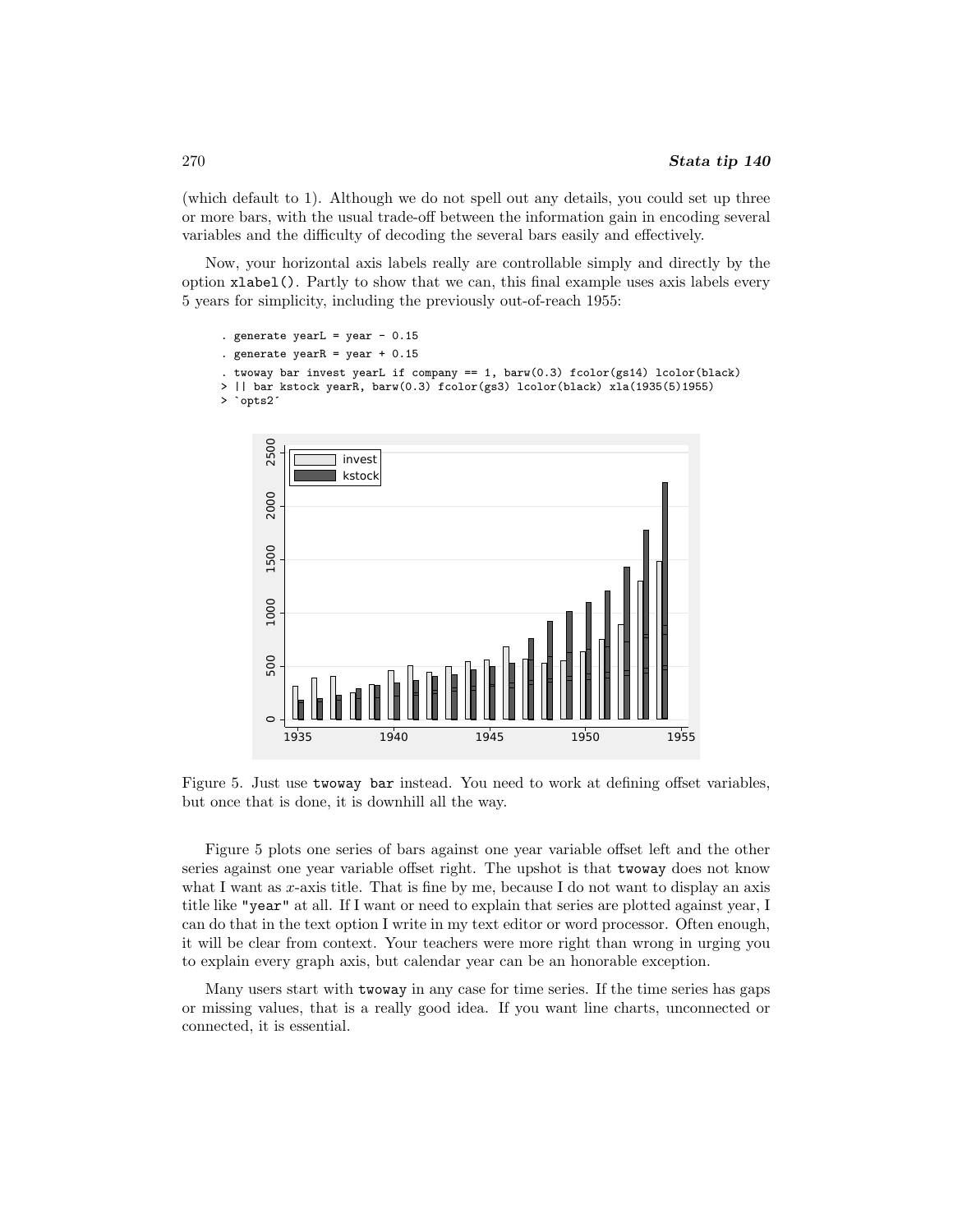(which default to 1). Although we do not spell out any details, you could set up three or more bars, with the usual trade-off between the information gain in encoding several variables and the difficulty of decoding the several bars easily and effectively.

Now, your horizontal axis labels really are controllable simply and directly by the option xlabel(). Partly to show that we can, this final example uses axis labels every 5 years for simplicity, including the previously out-of-reach 1955:

```
. generate yearL = year -0.15. generate yearR = year + 0.15. twoway bar invest yearL if company == 1, bar(0.3) fcolor(gs14) lcolor(black)
> || bar kstock yearR, barw(0.3) fcolor(gs3) lcolor(black) xla(1935(5)1955)
> `opts2´
```


Figure 5. Just use twoway bar instead. You need to work at defining offset variables, but once that is done, it is downhill all the way.

Figure 5 plots one series of bars against one year variable offset left and the other series against one year variable offset right. The upshot is that twoway does not know what I want as  $x$ -axis title. That is fine by me, because I do not want to display an axis title like "year" at all. If I want or need to explain that series are plotted against year, I can do that in the text option I write in my text editor or word processor. Often enough, it will be clear from context. Your teachers were more right than wrong in urging you to explain every graph axis, but calendar year can be an honorable exception.

Many users start with twoway in any case for time series. If the time series has gaps or missing values, that is a really good idea. If you want line charts, unconnected or connected, it is essential.